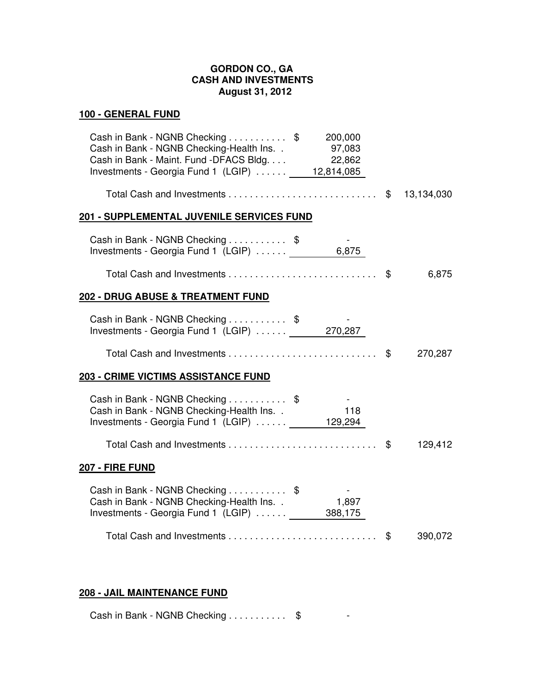## **GORDON CO., GA CASH AND INVESTMENTS August 31, 2012**

## **100 - GENERAL FUND**

| Cash in Bank - NGNB Checking $\ldots \ldots \ldots$ \$ 200,000<br>Cash in Bank - NGNB Checking-Health Ins. . 97,083<br>Cash in Bank - Maint. Fund - DFACS Bldg 22,862<br>Investments - Georgia Fund 1 (LGIP)  12,814,085 |         |
|--------------------------------------------------------------------------------------------------------------------------------------------------------------------------------------------------------------------------|---------|
|                                                                                                                                                                                                                          |         |
| <u> 201 - SUPPLEMENTAL JUVENILE SERVICES FUND</u>                                                                                                                                                                        |         |
| Cash in Bank - NGNB Checking \$<br>Investments - Georgia Fund 1 (LGIP)  6,875                                                                                                                                            |         |
|                                                                                                                                                                                                                          | 6,875   |
| <u> 202 - DRUG ABUSE &amp; TREATMENT FUND</u>                                                                                                                                                                            |         |
| Cash in Bank - NGNB Checking \$<br>Investments - Georgia Fund 1 (LGIP)  270,287                                                                                                                                          |         |
|                                                                                                                                                                                                                          | 270,287 |
| <u> 203 - CRIME VICTIMS ASSISTANCE FUND</u>                                                                                                                                                                              |         |
| Cash in Bank - NGNB Checking \$<br>Cash in Bank - NGNB Checking-Health Ins. .<br>118<br>Investments - Georgia Fund 1 (LGIP)  129,294                                                                                     |         |
|                                                                                                                                                                                                                          | 129,412 |
| <u> 207 - FIRE FUND</u>                                                                                                                                                                                                  |         |
| Cash in Bank - NGNB Checking \$<br>1,897<br>Cash in Bank - NGNB Checking-Health Ins. .<br>Investments - Georgia Fund 1 (LGIP) 388,175                                                                                    |         |
|                                                                                                                                                                                                                          | 390,072 |

## **208 - JAIL MAINTENANCE FUND**

Cash in Bank - NGNB Checking . . . . . . . . . \$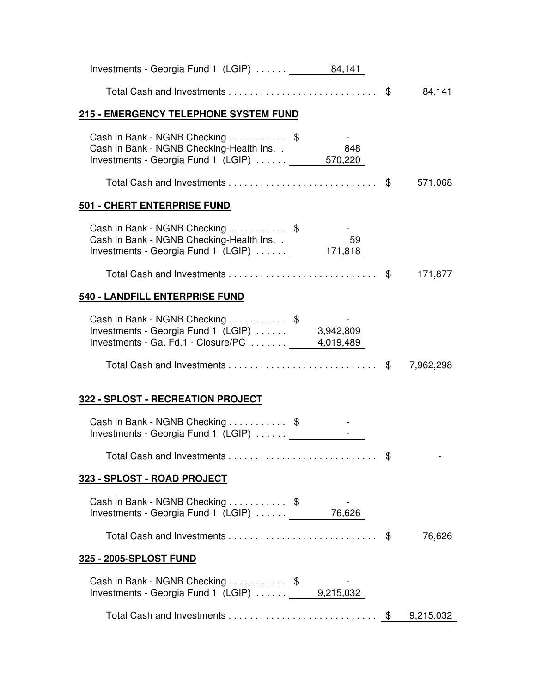| Investments - Georgia Fund 1 $(LGIP)$ 84,141                                                                                       |     |           |
|------------------------------------------------------------------------------------------------------------------------------------|-----|-----------|
|                                                                                                                                    |     |           |
| 215 - EMERGENCY TELEPHONE SYSTEM FUND                                                                                              |     |           |
| Cash in Bank - NGNB Checking \$<br>Cash in Bank - NGNB Checking-Health Ins. .<br>Investments - Georgia Fund 1 (LGIP)  570,220      | 848 |           |
|                                                                                                                                    |     |           |
| 501 - CHERT ENTERPRISE FUND                                                                                                        |     |           |
| Cash in Bank - NGNB Checking \$<br>Cash in Bank - NGNB Checking-Health Ins. .<br>Investments - Georgia Fund 1 (LGIP)  171,818      | 59  |           |
|                                                                                                                                    |     | 171,877   |
| 540 - LANDFILL ENTERPRISE FUND                                                                                                     |     |           |
| Cash in Bank - NGNB Checking \$<br>Investments - Georgia Fund 1 (LGIP)  3,942,809<br>Investments - Ga. Fd.1 - Closure/PC 4,019,489 |     |           |
|                                                                                                                                    |     |           |
| 322 - SPLOST - RECREATION PROJECT                                                                                                  |     |           |
| Cash in Bank - NGNB Checking \$<br>Investments - Georgia Fund 1 (LGIP)  [Calletter]                                                |     |           |
|                                                                                                                                    |     |           |
| 323 - SPLOST - ROAD PROJECT                                                                                                        |     |           |
| Cash in Bank - NGNB Checking \$<br>Investments - Georgia Fund 1 (LGIP)  76,626                                                     |     |           |
|                                                                                                                                    |     | 76,626    |
| 325 - 2005-SPLOST FUND                                                                                                             |     |           |
| Cash in Bank - NGNB Checking \$<br>Investments - Georgia Fund 1 $(LGIP)$ 9,215,032                                                 |     |           |
|                                                                                                                                    |     | 9,215,032 |